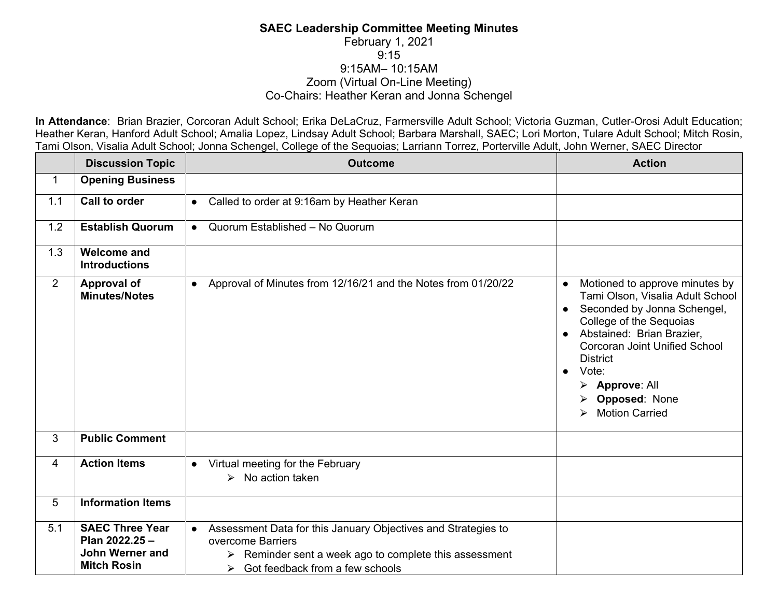## **SAEC Leadership Committee Meeting Minutes** February 1, 2021 9:15 9:15AM– 10:15AM Zoom (Virtual On-Line Meeting) Co-Chairs: Heather Keran and Jonna Schengel

**In Attendance**: Brian Brazier, Corcoran Adult School; Erika DeLaCruz, Farmersville Adult School; Victoria Guzman, Cutler-Orosi Adult Education; Heather Keran, Hanford Adult School; Amalia Lopez, Lindsay Adult School; Barbara Marshall, SAEC; Lori Morton, Tulare Adult School; Mitch Rosin, Tami Olson, Visalia Adult School; Jonna Schengel, College of the Sequoias; Larriann Torrez, Porterville Adult, John Werner, SAEC Director

|                | <b>Discussion Topic</b>                                                           | <b>Outcome</b>                                                                                                                                                                                                                  | <b>Action</b>                                                                                                                                                                                                                                                                                                                                                 |
|----------------|-----------------------------------------------------------------------------------|---------------------------------------------------------------------------------------------------------------------------------------------------------------------------------------------------------------------------------|---------------------------------------------------------------------------------------------------------------------------------------------------------------------------------------------------------------------------------------------------------------------------------------------------------------------------------------------------------------|
| $\mathbf{1}$   | <b>Opening Business</b>                                                           |                                                                                                                                                                                                                                 |                                                                                                                                                                                                                                                                                                                                                               |
| 1.1            | Call to order                                                                     | Called to order at 9:16am by Heather Keran<br>$\bullet$                                                                                                                                                                         |                                                                                                                                                                                                                                                                                                                                                               |
| 1.2            | <b>Establish Quorum</b>                                                           | Quorum Established - No Quorum<br>$\bullet$                                                                                                                                                                                     |                                                                                                                                                                                                                                                                                                                                                               |
| 1.3            | <b>Welcome and</b><br><b>Introductions</b>                                        |                                                                                                                                                                                                                                 |                                                                                                                                                                                                                                                                                                                                                               |
| $\overline{2}$ | <b>Approval of</b><br><b>Minutes/Notes</b>                                        | • Approval of Minutes from 12/16/21 and the Notes from 01/20/22                                                                                                                                                                 | Motioned to approve minutes by<br>Tami Olson, Visalia Adult School<br>Seconded by Jonna Schengel,<br>$\bullet$<br>College of the Sequoias<br>Abstained: Brian Brazier,<br><b>Corcoran Joint Unified School</b><br><b>District</b><br>Vote:<br>$\bullet$<br>$\triangleright$ Approve: All<br>> Opposed: None<br><b>Motion Carried</b><br>$\blacktriangleright$ |
| 3              | <b>Public Comment</b>                                                             |                                                                                                                                                                                                                                 |                                                                                                                                                                                                                                                                                                                                                               |
| 4              | <b>Action Items</b>                                                               | • Virtual meeting for the February<br>$\triangleright$ No action taken                                                                                                                                                          |                                                                                                                                                                                                                                                                                                                                                               |
| 5              | <b>Information Items</b>                                                          |                                                                                                                                                                                                                                 |                                                                                                                                                                                                                                                                                                                                                               |
| 5.1            | <b>SAEC Three Year</b><br>Plan 2022.25 -<br>John Werner and<br><b>Mitch Rosin</b> | Assessment Data for this January Objectives and Strategies to<br>$\bullet$<br>overcome Barriers<br>$\triangleright$ Reminder sent a week ago to complete this assessment<br>Got feedback from a few schools<br>$\triangleright$ |                                                                                                                                                                                                                                                                                                                                                               |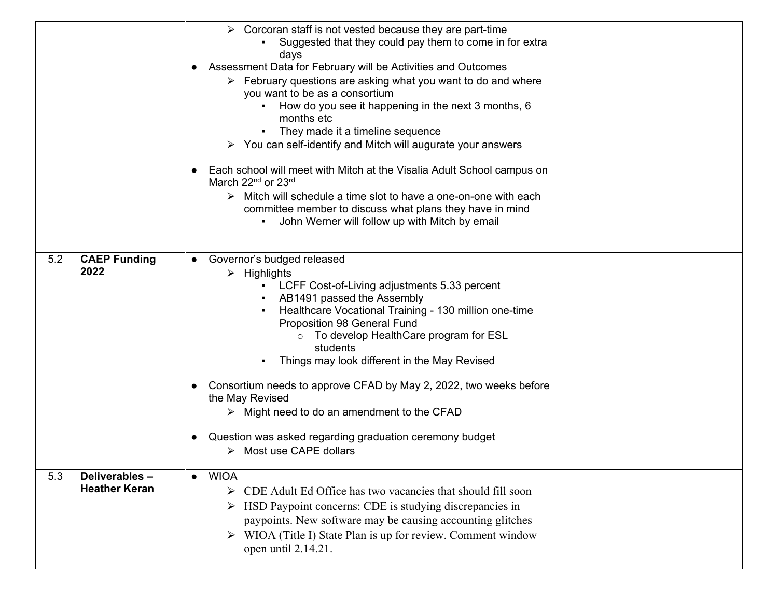|     |                                       | Corcoran staff is not vested because they are part-time<br>Suggested that they could pay them to come in for extra<br>days<br>Assessment Data for February will be Activities and Outcomes<br>> February questions are asking what you want to do and where<br>you want to be as a consortium<br>How do you see it happening in the next 3 months, 6<br>months etc<br>They made it a timeline sequence<br>$\triangleright$ You can self-identify and Mitch will augurate your answers<br>Each school will meet with Mitch at the Visalia Adult School campus on<br>March 22nd or 23rd<br>$\triangleright$ Mitch will schedule a time slot to have a one-on-one with each<br>committee member to discuss what plans they have in mind<br>John Werner will follow up with Mitch by email |  |
|-----|---------------------------------------|----------------------------------------------------------------------------------------------------------------------------------------------------------------------------------------------------------------------------------------------------------------------------------------------------------------------------------------------------------------------------------------------------------------------------------------------------------------------------------------------------------------------------------------------------------------------------------------------------------------------------------------------------------------------------------------------------------------------------------------------------------------------------------------|--|
| 5.2 | <b>CAEP Funding</b><br>2022           | • Governor's budged released<br>$\triangleright$ Highlights<br>LCFF Cost-of-Living adjustments 5.33 percent<br>AB1491 passed the Assembly<br>Healthcare Vocational Training - 130 million one-time<br>Proposition 98 General Fund<br>o To develop HealthCare program for ESL<br>students<br>Things may look different in the May Revised<br>Consortium needs to approve CFAD by May 2, 2022, two weeks before<br>the May Revised<br>$\triangleright$ Might need to do an amendment to the CFAD<br>Question was asked regarding graduation ceremony budget<br>$\triangleright$ Most use CAPE dollars                                                                                                                                                                                    |  |
| 5.3 | Deliverables-<br><b>Heather Keran</b> | $\bullet$ WIOA<br>CDE Adult Ed Office has two vacancies that should fill soon<br>➤<br>HSD Paypoint concerns: CDE is studying discrepancies in<br>➤<br>paypoints. New software may be causing accounting glitches<br>▶ WIOA (Title I) State Plan is up for review. Comment window<br>open until 2.14.21.                                                                                                                                                                                                                                                                                                                                                                                                                                                                                |  |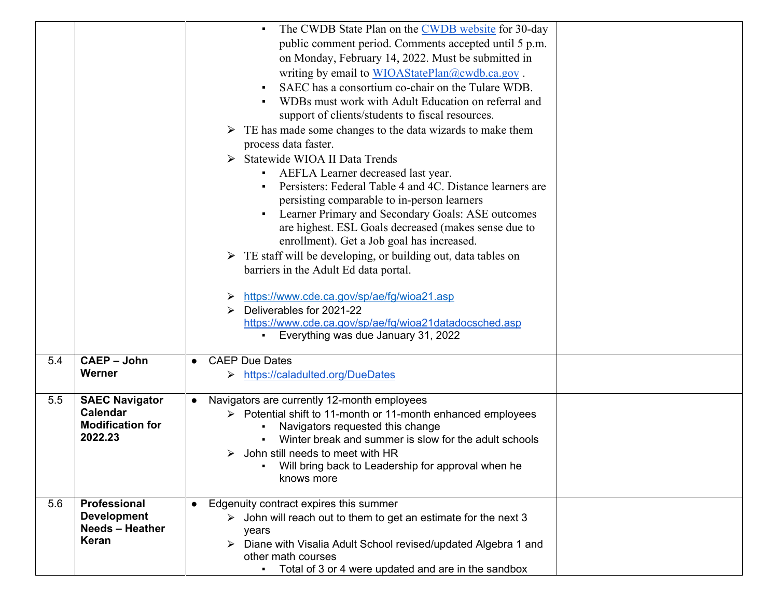|     |                                                                                | The CWDB State Plan on the CWDB website for 30-day<br>$\blacksquare$<br>public comment period. Comments accepted until 5 p.m.<br>on Monday, February 14, 2022. Must be submitted in<br>writing by email to WIOAStatePlan@cwdb.ca.gov.<br>SAEC has a consortium co-chair on the Tulare WDB.<br>WDBs must work with Adult Education on referral and<br>support of clients/students to fiscal resources.<br>$\triangleright$ TE has made some changes to the data wizards to make them<br>process data faster.<br>> Statewide WIOA II Data Trends<br>AEFLA Learner decreased last year.<br>Persisters: Federal Table 4 and 4C. Distance learners are<br>persisting comparable to in-person learners<br>Learner Primary and Secondary Goals: ASE outcomes<br>are highest. ESL Goals decreased (makes sense due to<br>enrollment). Get a Job goal has increased.<br>$\triangleright$ TE staff will be developing, or building out, data tables on<br>barriers in the Adult Ed data portal.<br>https://www.cde.ca.gov/sp/ae/fg/wioa21.asp<br>Deliverables for 2021-22<br>https://www.cde.ca.gov/sp/ae/fg/wioa21datadocsched.asp<br>Everything was due January 31, 2022 |
|-----|--------------------------------------------------------------------------------|------------------------------------------------------------------------------------------------------------------------------------------------------------------------------------------------------------------------------------------------------------------------------------------------------------------------------------------------------------------------------------------------------------------------------------------------------------------------------------------------------------------------------------------------------------------------------------------------------------------------------------------------------------------------------------------------------------------------------------------------------------------------------------------------------------------------------------------------------------------------------------------------------------------------------------------------------------------------------------------------------------------------------------------------------------------------------------------------------------------------------------------------------------------|
| 5.4 | <b>CAEP - John</b><br>Werner                                                   | <b>CAEP Due Dates</b><br>https://caladulted.org/DueDates<br>➤                                                                                                                                                                                                                                                                                                                                                                                                                                                                                                                                                                                                                                                                                                                                                                                                                                                                                                                                                                                                                                                                                                    |
| 5.5 | <b>SAEC Navigator</b><br><b>Calendar</b><br><b>Modification for</b><br>2022.23 | Navigators are currently 12-month employees<br>$\bullet$<br>> Potential shift to 11-month or 11-month enhanced employees<br>Navigators requested this change<br>Winter break and summer is slow for the adult schools<br>John still needs to meet with HR<br>➤<br>Will bring back to Leadership for approval when he<br>knows more                                                                                                                                                                                                                                                                                                                                                                                                                                                                                                                                                                                                                                                                                                                                                                                                                               |
| 5.6 | Professional<br><b>Development</b><br><b>Needs - Heather</b><br>Keran          | Edgenuity contract expires this summer<br>$\triangleright$ John will reach out to them to get an estimate for the next 3<br>years<br>> Diane with Visalia Adult School revised/updated Algebra 1 and<br>other math courses<br>Total of 3 or 4 were updated and are in the sandbox                                                                                                                                                                                                                                                                                                                                                                                                                                                                                                                                                                                                                                                                                                                                                                                                                                                                                |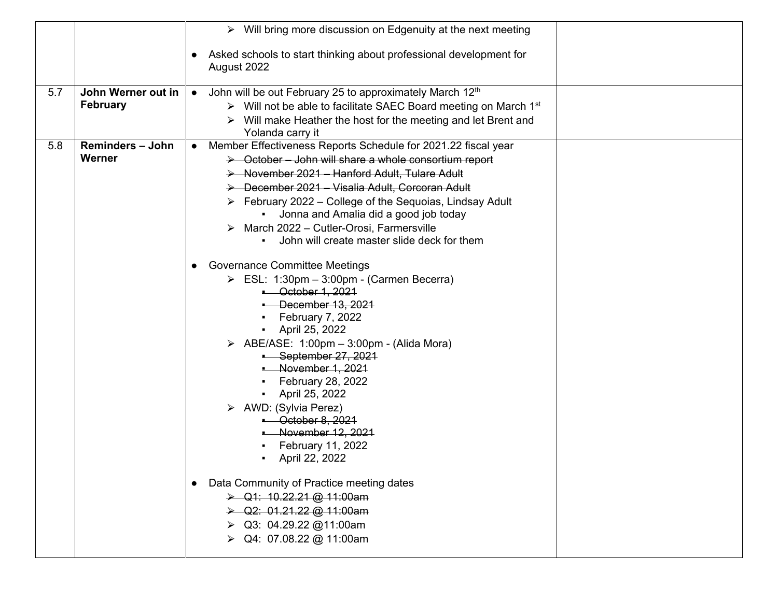|     |                                       | $\triangleright$ Will bring more discussion on Edgenuity at the next meeting                                                                                                                                                                                                                                                                                                                                                                                                                                                                                                                                                                                                                                                                                                                                                                            |
|-----|---------------------------------------|---------------------------------------------------------------------------------------------------------------------------------------------------------------------------------------------------------------------------------------------------------------------------------------------------------------------------------------------------------------------------------------------------------------------------------------------------------------------------------------------------------------------------------------------------------------------------------------------------------------------------------------------------------------------------------------------------------------------------------------------------------------------------------------------------------------------------------------------------------|
|     |                                       | Asked schools to start thinking about professional development for<br>August 2022                                                                                                                                                                                                                                                                                                                                                                                                                                                                                                                                                                                                                                                                                                                                                                       |
| 5.7 | John Werner out in<br><b>February</b> | John will be out February 25 to approximately March 12th<br>$\bullet$<br>> Will not be able to facilitate SAEC Board meeting on March 1st<br>$\triangleright$ Will make Heather the host for the meeting and let Brent and<br>Yolanda carry it                                                                                                                                                                                                                                                                                                                                                                                                                                                                                                                                                                                                          |
| 5.8 | <b>Reminders - John</b><br>Werner     | Member Effectiveness Reports Schedule for 2021.22 fiscal year<br>> October - John will share a whole consortium report<br>> November 2021 - Hanford Adult, Tulare Adult<br>> December 2021 - Visalia Adult, Corcoran Adult<br>$\triangleright$ February 2022 – College of the Sequoias, Lindsay Adult<br>• Jonna and Amalia did a good job today<br>March 2022 - Cutler-Orosi, Farmersville<br>John will create master slide deck for them<br><b>Governance Committee Meetings</b><br>$\triangleright$ ESL: 1:30pm - 3:00pm - (Carmen Becerra)<br><b>Correct 1, 2021</b><br>December 13, 2021<br>February 7, 2022<br>April 25, 2022<br>$\triangleright$ ABE/ASE: 1:00pm - 3:00pm - (Alida Mora)<br>September 27, 2021<br>November 1, 2021<br>February 28, 2022<br>April 25, 2022<br>> AWD: (Sylvia Perez)<br>$-$ October 8, 2021<br>- November 12, 2021 |
|     |                                       | February 11, 2022<br>April 22, 2022<br>Data Community of Practice meeting dates<br>$\triangleright$ Q1: 10.22.21 @ 11:00am<br>$\rightarrow$ Q2: 01.21.22 @ 11:00am<br>$\triangleright$ Q3: 04.29.22 @11:00am<br>> Q4: 07.08.22 @ 11:00am                                                                                                                                                                                                                                                                                                                                                                                                                                                                                                                                                                                                                |